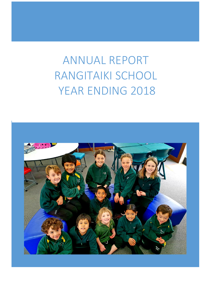# ANNUAL REPORT RANGITAIKI SCHOOL YEAR ENDING 2018

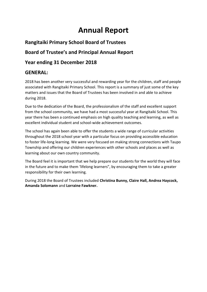## **Annual Report**

## **Rangitaiki Primary School Board of Trustees**

## **Board of Trustee's and Principal Annual Report**

## **Year ending 31 December 2018**

### **GENERAL:**

2018 has been another very successful and rewarding year for the children, staff and people associated with Rangitaiki Primary School. This report is a summary of just some of the key matters and issues that the Board of Trustees has been involved in and able to achieve during 2018.

Due to the dedication of the Board, the professionalism of the staff and excellent support from the school community, we have had a most successful year at Rangitaiki School. This year there has been a continued emphasis on high quality teaching and learning, as well as excellent individual student and school-wide achievement outcomes.

The school has again been able to offer the students a wide range of curricular activities throughout the 2018 school year with a particular focus on providing accessible education to foster life-long learning. We were very focused on making strong connections with Taupo Township and offering our children experiences with other schools and places as well as learning about our own country community.

The Board feel it is important that we help prepare our students for the world they will face in the future and to make them 'lifelong learners", by encouraging them to take a greater responsibility for their own learning.

During 2018 the Board of Trustees included **Christina Bunny, Claire Hall, Andrea Haycock, Amanda Solomann** and **Lorraine Fawkner.**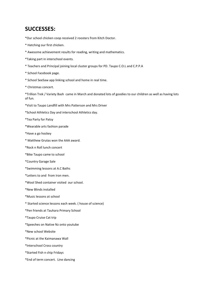## **SUCCESSES:**

\*Our school chicken coop received 2 roosters from Kitch Doctor.

- \* Hatching our first chicken.
- \* Awesome achievement results for reading, writing and mathematics.
- \*Taking part in interschool events.
- \* Teachers and Principal joining local cluster groups for PD. Taupo C.O.L and C.P.P.A
- \* School Facebook page.
- \* School SeeSaw app linking school and home in real time.
- \* Christmas concert.

\*Trillion Trek / Variety Bash came in March and donated lots of goodies to our children as well as having lots of fun.

- \*Visit to Taupo Landfill with Mrs Patterson and Mrs Driver
- \*School Athletics Day and interschool Athletics day.

\*Tea Party for Patsy

- \*Wearable arts fashion parade
- \*Have a go hockey
- \* Matthew Grutas won the AAA award.
- \*Rock n Roll lunch concert
- \*Bike Taupo came to school
- \*Country Garage Sale
- \*Swimming lessons at A.C Baths
- \*Letters to and from Iron men.
- \*Wool Shed container visited our school.
- \*New Blinds installed
- \*Music lessons at school
- \* Started science lessons each week. ( house of science)
- \*Pen friends at Tauhara Primary School
- \*Taupo Cruise Cat trip
- \*Speeches on Native Nz onto youtube
- \*New school Website
- \*Picnic at the Kaimanawa Wall
- \*Interschool Cross country
- \*Started Fish n chip Fridays
- \*End of term concert. Line dancing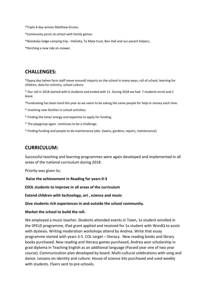\*Triple A day winner Matthew Grutas.

- \*Community picnic at school with family games.
- \*Waiokaka lodge camping trip. –Helisika, Te Mata trust, Ben Hall and our parent helpers.

\*Perching a new ride on mower.

#### **CHALLENGES:**

\*Gypsy day (when farm staff move around) impacts on the school in many ways, roll of school, learning for children, data for ministry, school culture.

\* Our roll in 2018 started with 6 students and ended with 11. During 2018 we had 7 students enrol and 2 leave.

\*Fundraising has been hard this year as we seem to be asking the same people for help or money each time.

\* Involving new families in school activities.

- \* Finding the time/ energy and expertise to apply for funding.
- \* The playgroup again continues to be a challenge.
- \* Finding funding and people to do maintenance jobs. (lawns, gardens, repairs, maintenance)

#### **CURRICULUM:**

Successful teaching and learning programmes were again developed and implemented in all areas of the national curriculum during 2018.

Priority was given to;

**Raise the achievement in Reading for years 0-3** 

**ESOL students to improve in all areas of the curriculum**

**Extend children with technology, art , science and music**

**Give students rich experiences in and outside the school community.** 

**Market the school to build the roll.**

We employed a music teacher, Students attended events in Town, 1x student enrolled in the SPELD programme, iPad grant applied and received for 1x student with WordQ to assist with dyslexia. Writing moderation workshops attend by Andrea. Write that essay programme started with years 3-5. COL target – literacy. New reading books and library books purchased. New reading and literacy games purchased, Andrea won scholarship in grad diploma in Teaching English as an additional language (Passed year one of two year course). Communication plan developed by board. Multi-cultural celebrations with song and dance. Lessons on identity and culture. House of science kits purchased and used weekly with students. Flyers sent to pre-schools.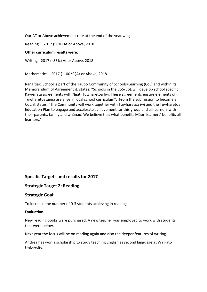Our AT or Above achievement rate at the end of the year was;

Reading – 2017 (50%) At or Above, 2018

#### **Other curriculum results were:**

Writing- 2017 ( 83%) At or Above, 2018

Mathematics – 2017 ( 100 % )At or Above, 2018

Rangitiaki School is part of the Taupo Community of Schools/Learning (CoL) and within its Memorandum of Agreement it, states, "Schools in the CoS/CoL will develop school specific Kawenata agreements with Ngati Tuwharetoa Iwi. These agreements ensure elements of Tuwharetoatanga are alive in local school curriculum". From the submission to become a CoL, it states, "The Community will work together with Tuwharetoa iwi and the Tuwharetoa Education Plan to engage and accelerate achievement for this group and all learners with their parents, family and whānau. We believe that what benefits Māori learners' benefits all learners."

#### **Specific Targets and results for 2017**

#### **Strategic Target 2: Reading**

#### **Strategic Goal:**

To increase the number of 0-3 students achieving in reading

#### **Evaluation:**

New reading books were purchased. A new teacher was employed to work with students that were below.

Next year the focus will be on reading again and also the deeper features of writing.

Andrea has won a scholarship to study teaching English as second language at Waikato University.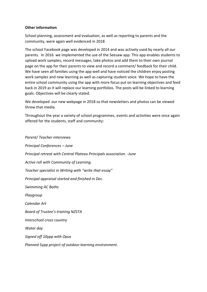#### **Other information**

School planning, assessment and evaluation, as well as reporting to parents and the community, were again well evidenced in 2018

The school Facebook page was developed in 2014 and was actively used by nearly all our parents. In 2016 we implemented the use of the Seesaw app. This app enables students to upload work samples, record messages, take photos and add them to their own journal page on the app for their parents to view and record a comment/ feedback for their child. We have seen all families using the app well and have noticed the children enjoy posting work samples and new learning as well as capturing student voice. We hope to have the entire school community using the app with more focus put on learning objectives and feed back in 2019 as it will replace our learning portfolios. The posts will be linked to learning goals. Objectives will be clearly stated.

We developed our new webpage in 2018 so that newsletters and photos can be viewed threw that media.

Throughout the year a variety of school programmes, events and activities were once again offered for the students, staff and community:

*Parent/ Teacher interviews Principal Conferences – June Principal retreat with Central Plateau Principals association. -June Active roll with Community of Learning. Teacher specialist in Writing with "write that essay" Principal appraisal started and finished in Dec. Swimming AC Baths Playgroup Calendar Art Board of Trustee's training NZSTA Interschool cross country Water day Signed off 10ypp with Opus Planned 5ypp project of outdoor learning environment.*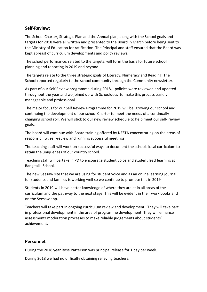#### **Self-Review:**

The School Charter, Strategic Plan and the Annual plan, along with the School goals and targets for 2018 were all written and presented to the Board in March before being sent to the Ministry of Education for ratification. The Principal and staff ensured that the Board was kept abreast of curriculum developments and policy reviews.

The school performance, related to the targets, will form the basis for future school planning and reporting in 2019 and beyond.

The targets relate to the three strategic goals of Literacy, Numeracy and Reading. The School reported regularly to the school community through the Community newsletter.

As part of our Self Review programme during 2018, policies were reviewed and updated throughout the year and we joined up with Schooldocs to make this process easier, manageable and professional.

The major focus for our Self Review Programme for 2019 will be; growing our school and continuing the development of our school Charter to meet the needs of a continually changing school roll. We will stick to our new review schedule to help meet our self- review goals.

The board will continue with Board training offered by NZSTA concentrating on the areas of responsibility, self-review and running successful meetings.

The teaching staff will work on successful ways to document the schools local curriculum to retain the uniqueness of our country school.

Teaching staff will partake in PD to encourage student voice and student lead learning at Rangitaiki School.

The new Seesaw site that we are using for student voice and as an online learning journal for students and families is working well so we continue to promote this in 2019

Students in 2019 will have better knowledge of where they are at in all areas of the curriculum and the pathway to the next stage. This will be evident in their work books and on the Seesaw app.

Teachers will take part in ongoing curriculum review and development. They will take part in professional development in the area of programme development. They will enhance assessment/ moderation processes to make reliable judgements about students' achievement.

#### **Personnel:**

During the 2018 year Rose Patterson was principal release for 1 day per week.

During 2018 we had no difficulty obtaining relieving teachers.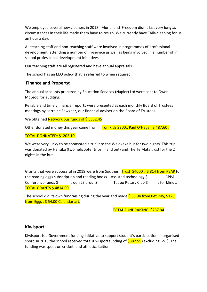We employed several new cleaners in 2018. Muriel and Freedom didn't last very long as circumstances in their life made them have to resign. We currently have Taila cleaning for us an hour a day.

All teaching staff and non-teaching staff were involved in programmes of professional development, attending a number of in-service as well as being involved in a number of in school professional development initiatives.

Our teaching staff are all registered and have annual appraisals.

The school has an EEO policy that is referred to when required.

#### **Finance and Property:**

The annual accounts prepared by Education Services (Napier) Ltd were sent to Owen McLeod for auditing.

Reliable and timely financial reports were presented at each monthly Board of Trustees meetings by Lorraine Fawkner, our financial adviser on the Board of Trustees.

We obtained Network bus funds of \$5552.45

Other donated money this year came from; . Iron Kidz \$300,. Paul O'Hagan \$ 487.60 .

#### TOTAL DONNATED: \$1202.10

We were very lucky to be sponsored a trip into the Waiokaka hut for two nights. This trip was donated by Helisika (two helicopter trips in and out) and The Te Mata trust for the 2 nights in the hut.

Grants that were successful in 2018 were from Southern Trust \$4000. \$814 from REAP for the reading eggs subscription and reading books. Assisted technology \$, CPPA Conference funds \$ , don LE prou \$ , Taupo Rotary Club \$ , for blinds. TOTAL GRANTS \$ 4814.00

The school did its own fundraising during the year and made  $\frac{5}{5}$  55.94 from Pet Day,  $\frac{228}{5}$ from Eggs, \$54.00 Calendar art.

TOTAL FUNDRAISING \$237.94

#### **Kiwisport:**

.

Kiwisport is a Government funding initiative to support student's participation in organised sport. In 2018 the school received total Kiwisport funding of **\$382.55** (excluding GST). The funding was spent on cricket, and athletics tuition.